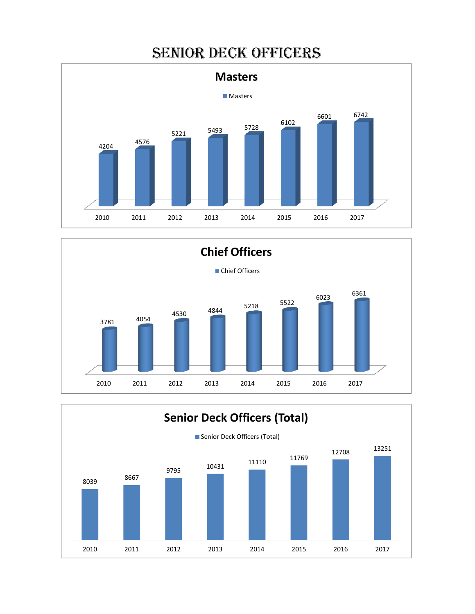# SENIOR DECK OFFICERS





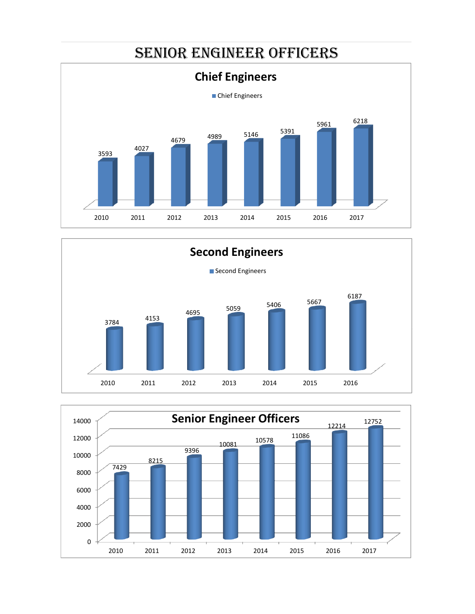## SENIOR ENGINEER OFFICERS





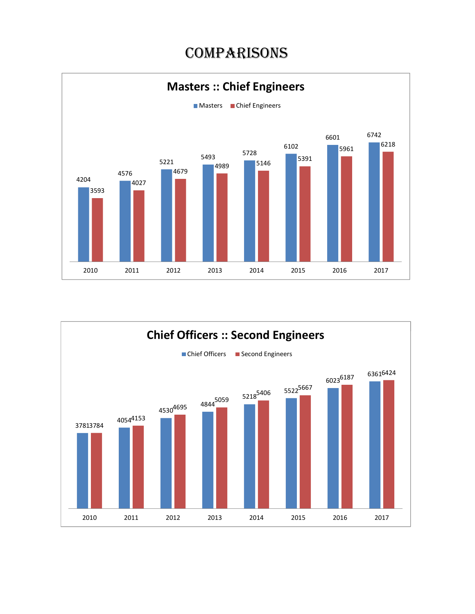# **COMPARISONS**



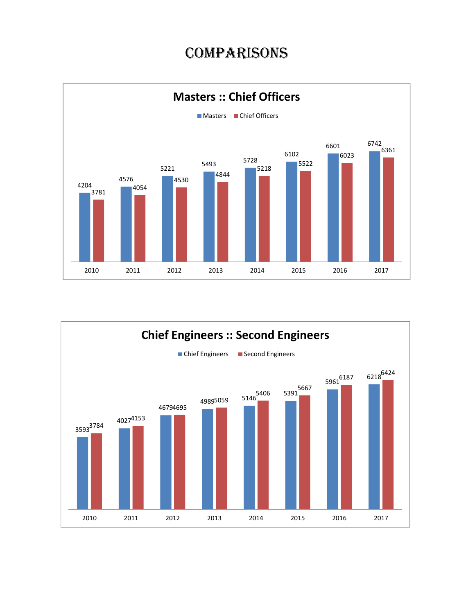## **COMPARISONS**



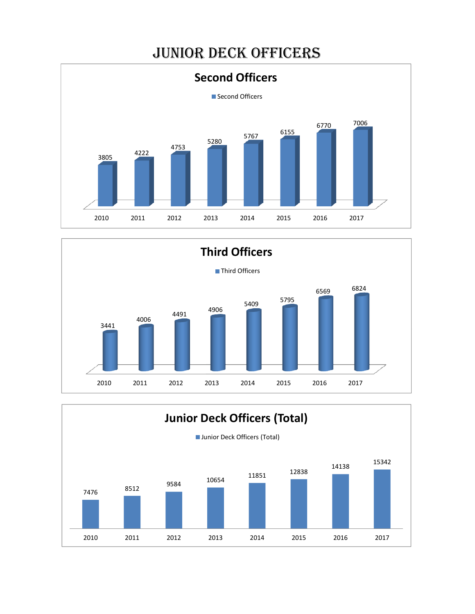# JUNIOR DECK OFFICERS





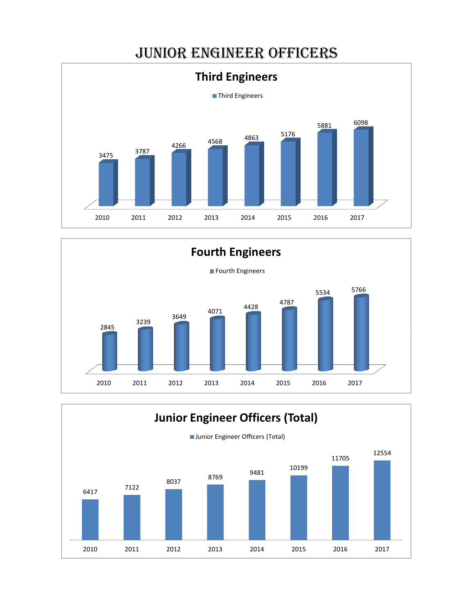## JUNIOR ENGINEER OFFICERS





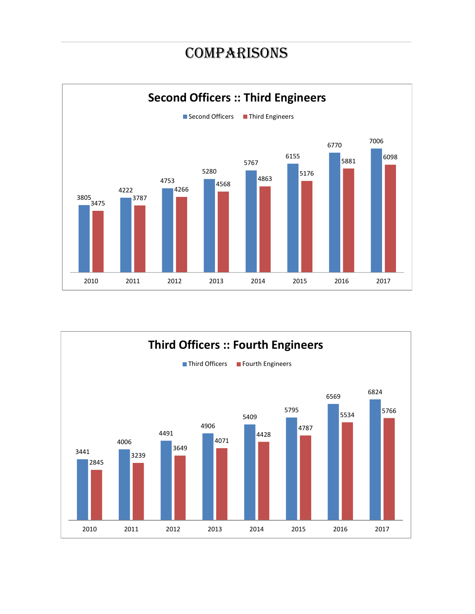## **COMPARISONS**



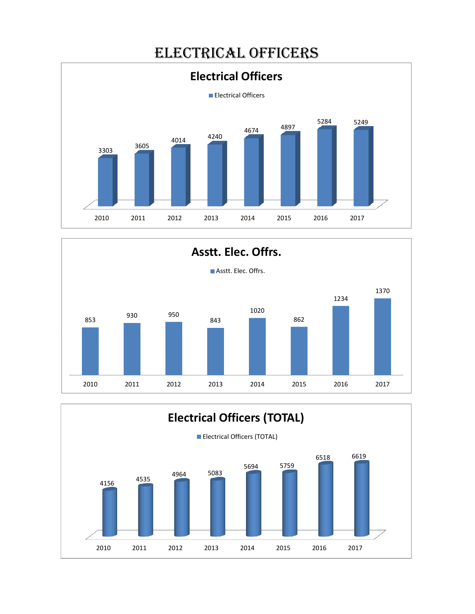



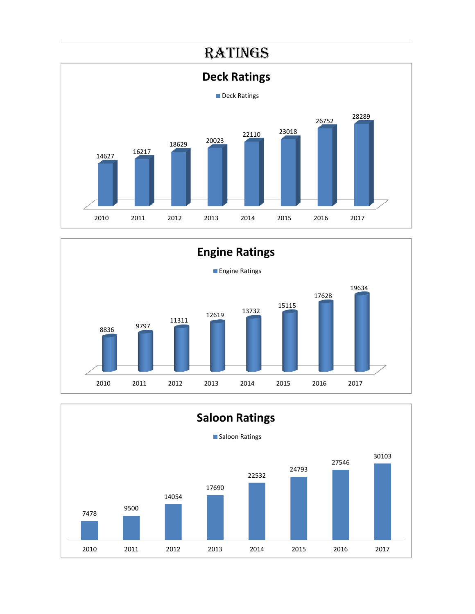



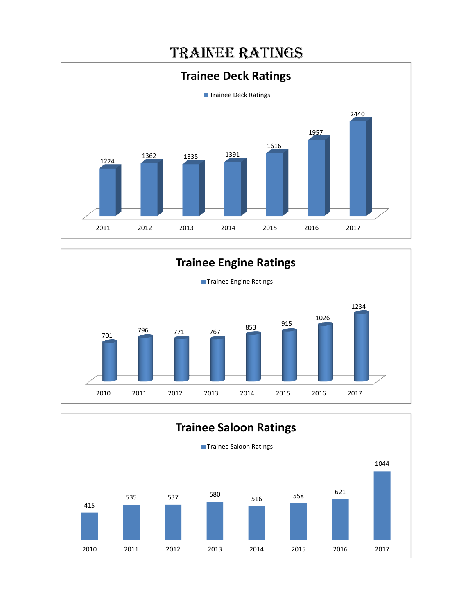



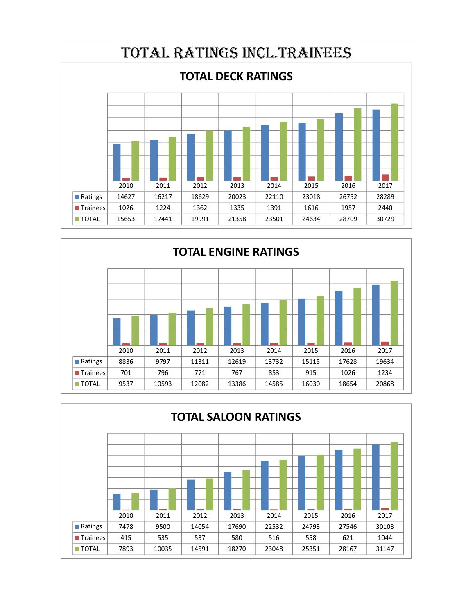



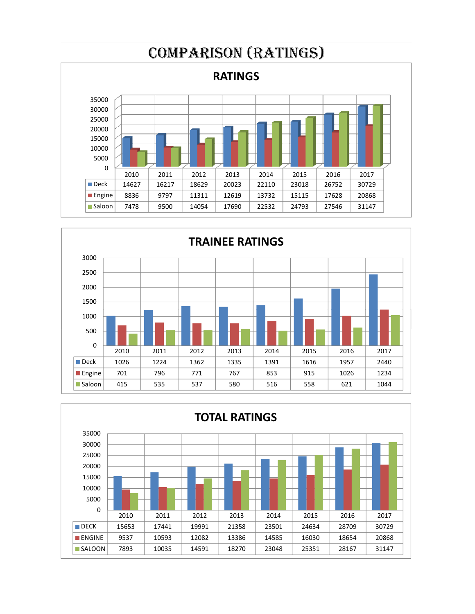



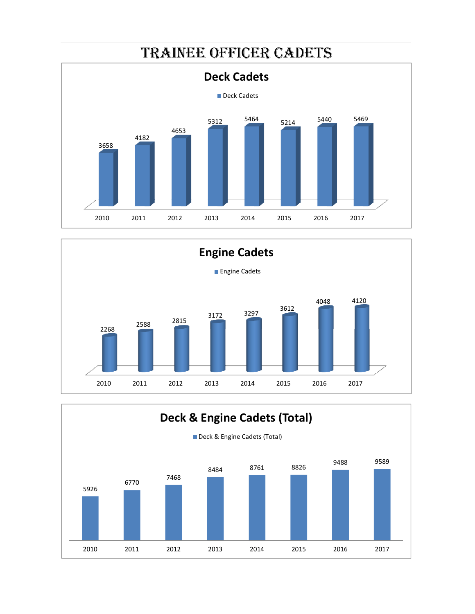